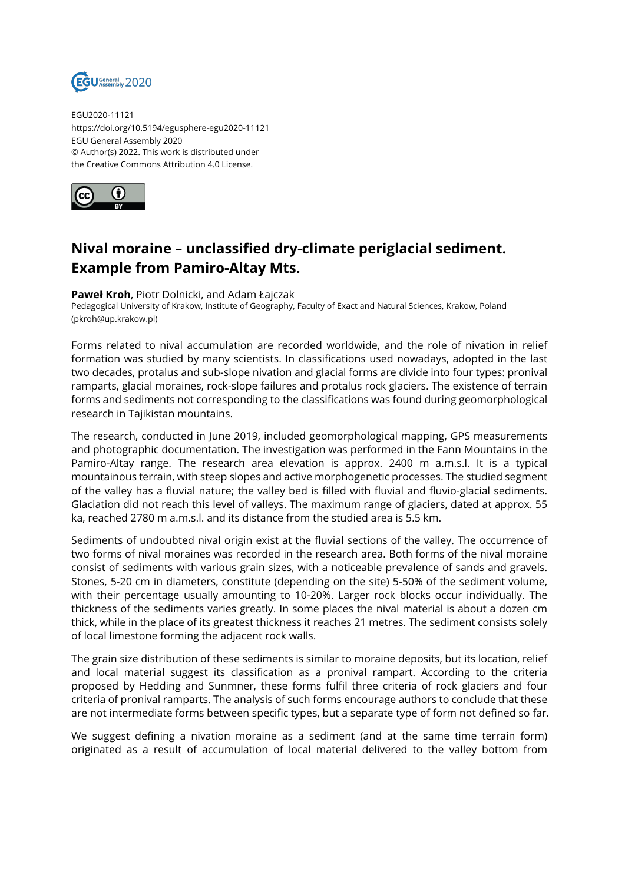

EGU2020-11121 https://doi.org/10.5194/egusphere-egu2020-11121 EGU General Assembly 2020 © Author(s) 2022. This work is distributed under the Creative Commons Attribution 4.0 License.



## **Nival moraine – unclassified dry-climate periglacial sediment. Example from Pamiro-Altay Mts.**

## **Paweł Kroh**, Piotr Dolnicki, and Adam Łajczak

Pedagogical University of Krakow, Institute of Geography, Faculty of Exact and Natural Sciences, Krakow, Poland (pkroh@up.krakow.pl)

Forms related to nival accumulation are recorded worldwide, and the role of nivation in relief formation was studied by many scientists. In classifications used nowadays, adopted in the last two decades, protalus and sub-slope nivation and glacial forms are divide into four types: pronival ramparts, glacial moraines, rock-slope failures and protalus rock glaciers. The existence of terrain forms and sediments not corresponding to the classifications was found during geomorphological research in Tajikistan mountains.

The research, conducted in June 2019, included geomorphological mapping, GPS measurements and photographic documentation. The investigation was performed in the Fann Mountains in the Pamiro-Altay range. The research area elevation is approx. 2400 m a.m.s.l. It is a typical mountainous terrain, with steep slopes and active morphogenetic processes. The studied segment of the valley has a fluvial nature; the valley bed is filled with fluvial and fluvio-glacial sediments. Glaciation did not reach this level of valleys. The maximum range of glaciers, dated at approx. 55 ka, reached 2780 m a.m.s.l. and its distance from the studied area is 5.5 km.

Sediments of undoubted nival origin exist at the fluvial sections of the valley. The occurrence of two forms of nival moraines was recorded in the research area. Both forms of the nival moraine consist of sediments with various grain sizes, with a noticeable prevalence of sands and gravels. Stones, 5-20 cm in diameters, constitute (depending on the site) 5-50% of the sediment volume, with their percentage usually amounting to 10-20%. Larger rock blocks occur individually. The thickness of the sediments varies greatly. In some places the nival material is about a dozen cm thick, while in the place of its greatest thickness it reaches 21 metres. The sediment consists solely of local limestone forming the adjacent rock walls.

The grain size distribution of these sediments is similar to moraine deposits, but its location, relief and local material suggest its classification as a pronival rampart. According to the criteria proposed by Hedding and Sunmner, these forms fulfil three criteria of rock glaciers and four criteria of pronival ramparts. The analysis of such forms encourage authors to conclude that these are not intermediate forms between specific types, but a separate type of form not defined so far.

We suggest defining a nivation moraine as a sediment (and at the same time terrain form) originated as a result of accumulation of local material delivered to the valley bottom from